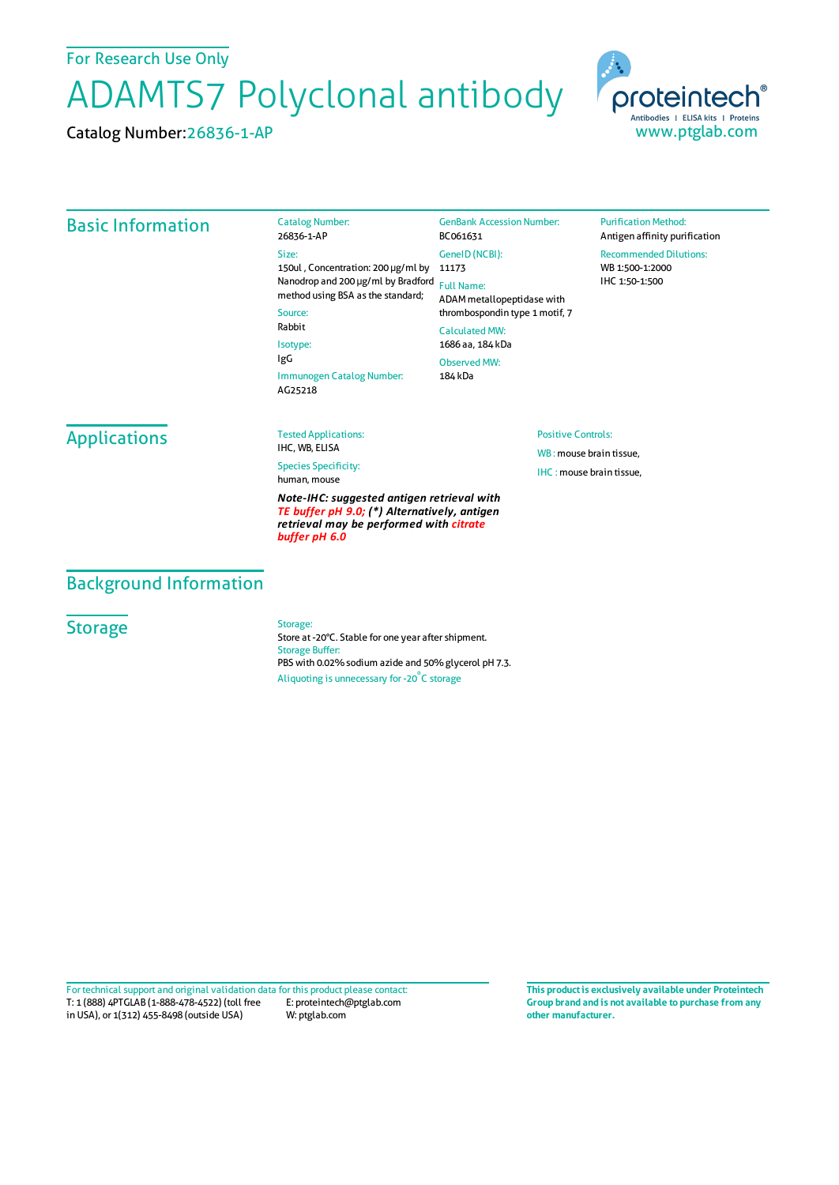For Research Use Only

# ADAMTS7 Polyclonal antibody

Catalog Number:

Catalog Number:26836-1-AP



## Basic Information

26836-1-AP Size: 150ul , Concentration: 200 μg/ml by 11173 Nanodrop and 200 μg/ml by Bradford Full Name: method using BSA as the standard;

#### Source: Rabbit

Isotype: IgG Immunogen Catalog Number: AG25218

BC061631 GeneID(NCBI):

GenBank Accession Number:

### ADAMmetallopeptidase with thrombospondin type 1 motif, 7 CalculatedMW:

1686 aa, 184 kDa ObservedMW: 184 kDa

#### **Purification Method:** Antigen affinity purification Recommended Dilutions: WB 1:500-1:2000 IHC 1:50-1:500

Applications

#### Tested Applications: IHC, WB, ELISA

Species Specificity: human, mouse

*Note-IHC: suggested antigen retrieval with TE buffer pH 9.0; (\*) Alternatively, antigen retrieval may be performed with citrate buffer pH 6.0*

#### Positive Controls:

WB : mouse brain tissue, IHC : mouse brain tissue,

## Background Information

## **Storage**

Storage: Store at -20°C. Stable for one year after shipment. Storage Buffer: PBS with 0.02% sodium azide and 50% glycerol pH 7.3.

Aliquoting is unnecessary for -20<sup>°</sup>C storage

T: 1 (888) 4PTGLAB (1-888-478-4522) (toll free in USA), or 1(312) 455-8498 (outside USA) E: proteintech@ptglab.com W: ptglab.com Fortechnical support and original validation data forthis product please contact: **This productis exclusively available under Proteintech**

**Group brand and is not available to purchase from any other manufacturer.**